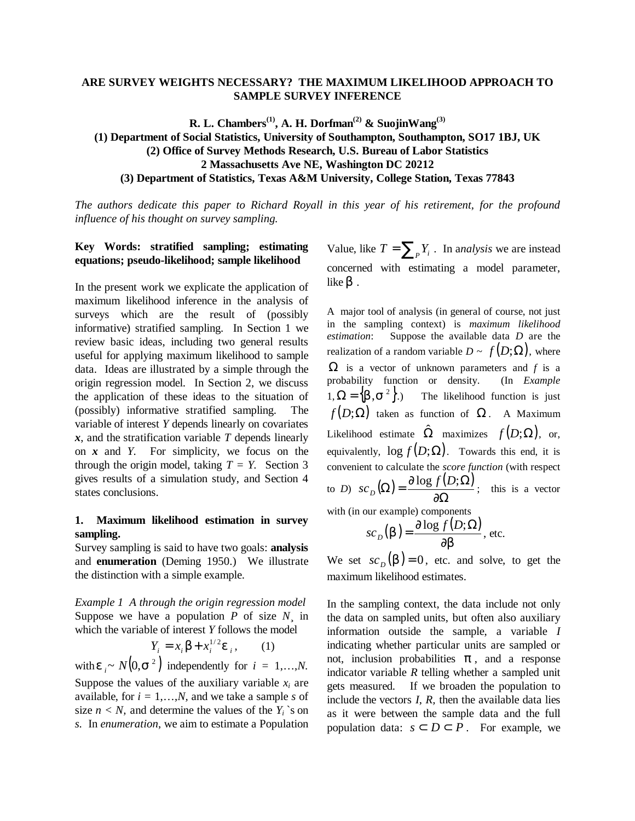## **ARE SURVEY WEIGHTS NECESSARY? THE MAXIMUM LIKELIHOOD APPROACH TO SAMPLE SURVEY INFERENCE**

**R. L. Chambers**<sup>(1)</sup>, **A. H. Dorfman**<sup>(2)</sup> & SuojinWang<sup>(3)</sup> **(1) Department of Social Statistics, University of Southampton, Southampton, SO17 1BJ, UK (2) Office of Survey Methods Research, U.S. Bureau of Labor Statistics 2 Massachusetts Ave NE, Washington DC 20212 (3) Department of Statistics, Texas A&M University, College Station, Texas 77843**

*The authors dedicate this paper to Richard Royall in this year of his retirement, for the profound influence of his thought on survey sampling.*

# **Key Words: stratified sampling; estimating equations; pseudo-likelihood; sample likelihood**

In the present work we explicate the application of maximum likelihood inference in the analysis of surveys which are the result of (possibly informative) stratified sampling. In Section 1 we review basic ideas, including two general results useful for applying maximum likelihood to sample data. Ideas are illustrated by a simple through the origin regression model. In Section 2, we discuss the application of these ideas to the situation of (possibly) informative stratified sampling. The variable of interest *Y* depends linearly on covariates *x*, and the stratification variable *T* depends linearly on *x* and *Y.* For simplicity, we focus on the through the origin model, taking  $T = Y$ . Section 3 gives results of a simulation study, and Section 4 states conclusions.

## **1. Maximum likelihood estimation in survey sampling.**

Survey sampling is said to have two goals: **analysis** and **enumeration** (Deming 1950.) We illustrate the distinction with a simple example.

*Example 1 A through the origin regression model* Suppose we have a population  $P$  of size  $N<sub>z</sub>$  in which the variable of interest *Y* follows the model

$$
Y_i = x_i \mathbf{b} + x_i^{1/2} \mathbf{e}_i, \qquad (1)
$$

with  $\boldsymbol{e}_i \sim N(0, \mathbf{s}^2)$  independently for  $i = 1, \ldots, N$ . Suppose the values of the auxiliary variable  $x_i$  are available, for  $i = 1, \ldots, N$ , and we take a sample *s* of size  $n < N$ , and determine the values of the  $Y_i$ 's on *s.* In *enumeration*, we aim to estimate a Population

Value, like  $T = \sum_{P} Y_i$ . In analysis we are instead concerned with estimating a model parameter, like *b*.

A major tool of analysis (in general of course, not just in the sampling context) is *maximum likelihood estimation*: Suppose the available data *D* are the realization of a random variable  $D \sim f(D; \Omega)$ , where  $\Omega$  is a vector of unknown parameters and *f* is a probability function or density. (In *Example*  $1, \Omega = \{b, s^2\}$ .) The likelihood function is just *f*  $(D;\Omega)$  taken as function of  $\Omega$ . A Maximum Likelihood estimate  $\hat{\Omega}$  maximizes  $f(D;\Omega)$ , or, equivalently,  $log f(D; \Omega)$ . Towards this end, it is convenient to calculate the *score function* (with respect to *D*)  $sc_n(\Omega) = \frac{\partial \log f(D;\Omega)}{\partial \Omega}$ ∂Ω  $sc_D(\Omega) = \frac{\partial \log f(D;\Omega)}{\partial \Omega}$ ; this is a vector with (in our example) components  $(\mathbf{b}) = \frac{\partial \log f(D; \Omega)}{\partial \mathbf{b}}$ *b b* ∂  $sc_D(\mathbf{b}) = \frac{\partial \log f(D; \Omega)}{\partial \mathbf{b}}$ , etc.

We set  $\mathfrak{so}_D(\mathbf{b}) = 0$ , etc. and solve, to get the maximum likelihood estimates.

In the sampling context, the data include not only the data on sampled units, but often also auxiliary information outside the sample, a variable *I* indicating whether particular units are sampled or not, inclusion probabilities *p*, and a response indicator variable *R* telling whether a sampled unit gets measured. If we broaden the population to include the vectors *I*, *R,* then the available data lies as it were between the sample data and the full population data:  $s \subset D \subset P$ . For example, we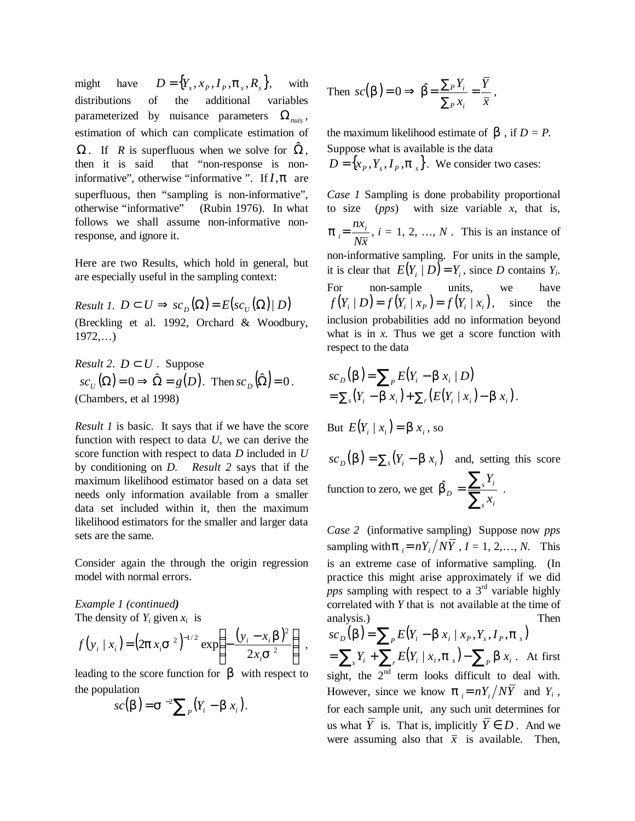might have  $D = \{Y_s, x_p, I_p, \mathbf{p}_s, \mathbf{R}_s\}$ , with distributions of the additional variables parameterized by nuisance parameters  $\Omega_{\text{mix}}$ , estimation of which can complicate estimation of  $\Omega$ . If *R* is superfluous when we solve for  $\Omega$ , then it is said that "non-response is noninformative", otherwise "informative ". If *I*,*p* are superfluous, then "sampling is non-informative", otherwise "informative" (Rubin 1976). In what follows we shall assume non-informative nonresponse, and ignore it.

Here are two Results, which hold in general, but are especially useful in the sampling context:

*Result 1.*  $D \subset U \Rightarrow \mathit{sc}_D(\Omega) = E(\mathit{sc}_U(\Omega) | D)$ (Breckling et al. 1992, Orchard & Woodbury,  $1972,...)$ 

*Result 2.*  $D \subset U$ . Suppose  $sc_U(\Omega) = 0 \Rightarrow \hat{\Omega} = g(D)$ . Then  $sc_D(\hat{\Omega}) = 0$ . (Chambers, et al 1998)

*Result 1* is basic. It says that if we have the score function with respect to data *U*, we can derive the score function with respect to data *D* included in *U* by conditioning on *D. Result 2* says that if the maximum likelihood estimator based on a data set needs only information available from a smaller data set included within it, then the maximum likelihood estimators for the smaller and larger data sets are the same.

Consider again the through the origin regression model with normal errors.

*Example 1 (continued)* The density of  $Y_i$  given  $x_i$  is

$$
f(y_i \mid x_i) = \left(2\mathbf{p}x_i\mathbf{S}^2\right)^{-1/2} \exp\left(-\frac{(y_i - x_i\mathbf{b})^2}{2x_i\mathbf{S}^2}\right),
$$

leading to the score function for  $\bm{b}$  with respect to the population

$$
sc(\mathbf{b})=\mathbf{s}^{-2}\sum_{P}(Y_i-\mathbf{b}x_i).
$$

Then 
$$
sc(\mathbf{b}) = 0 \Rightarrow \hat{\mathbf{b}} = \frac{\sum_{P} Y_i}{\sum_{P} x_i} = \frac{\overline{Y}}{\overline{x}}
$$
,

the maximum likelihood estimate of  $\bf{b}$ , if  $\bf{D} = \bf{P}$ . Suppose what is available is the data  $D = \{x_p, Y_s, I_p, \boldsymbol{p}_s\}$ . We consider two cases:

*Case 1* Sampling is done probability proportional to size (*pps*) with size variable *x*, that is*,*  $\mathbf{p}_i = \frac{n x_i}{N\overline{x}}$ ,  $i = 1, 2, ..., N$ . This is an instance of non-informative sampling. For units in the sample, it is clear that  $E(Y_i | D) = Y_i$ , since *D* contains  $Y_i$ . For non-sample units, we have *f*  $(Y_i | D) = f(Y_i | x_p) = f(Y_i | x_i)$ , since the inclusion probabilities add no information beyond what is in *x*. Thus we get a score function with respect to the data

$$
sc_D(\mathbf{b}) = \sum_{P} E(Y_i - \mathbf{b}x_i | D)
$$
  
=  $\sum_{s} (Y_i - \mathbf{b}x_i) + \sum_{r} (E(Y_i | x_i) - \mathbf{b}x_i).$ 

But  $E(Y_i | x_i) = \mathbf{b}x_i$ , so

 $\int_{S}^{C}$  *sc*<sub>*D*</sub></sub> (*b*) =  $\sum_{s}$  (*Y<sub>i</sub>* − *bx<sub>i</sub>*) and, setting this score function to zero, we get  $\mathbf{b}_b = \sum_{k=1}^{n} a_k \mathbf{b}_k$  $=\frac{\sum}{}$ *s i s i*  $D$   $\sum_{i}$   $x$  $\hat{\mathbf{b}}_{\scriptscriptstyle{D}} = \frac{\sum_{s} Y_i}{\sum_{s}}$ .

*Case 2* (informative sampling) Suppose now *pps* sampling with  $\mathbf{p}_i = nY_i/N\overline{Y}$ ,  $I = 1, 2, ..., N$ . This is an extreme case of informative sampling. (In practice this might arise approximately if we did *pps* sampling with respect to a 3<sup>rd</sup> variable highly correlated with *Y* that is not available at the time of analysis.) Then

 $SC_D(D) = \sum_{P} E(Y_i - \mathbf{b}x_i \mid x_P, Y_s, I_P, \mathbf{p}_s)$  $=\sum_{s} Y_i + \sum_{r} E(Y_i \mid x_i, \mathbf{p}_s) - \sum_{P} \mathbf{b} x_i$ . At first sight, the  $2<sup>nd</sup>$  term looks difficult to deal with. However, since we know  $p_i = nY_i/N\overline{Y}$  and  $Y_i$ , for each sample unit, any such unit determines for us what  $\overline{Y}$  is. That is, implicitly  $\overline{Y} \in D$ . And we were assuming also that  $\bar{x}$  is available. Then,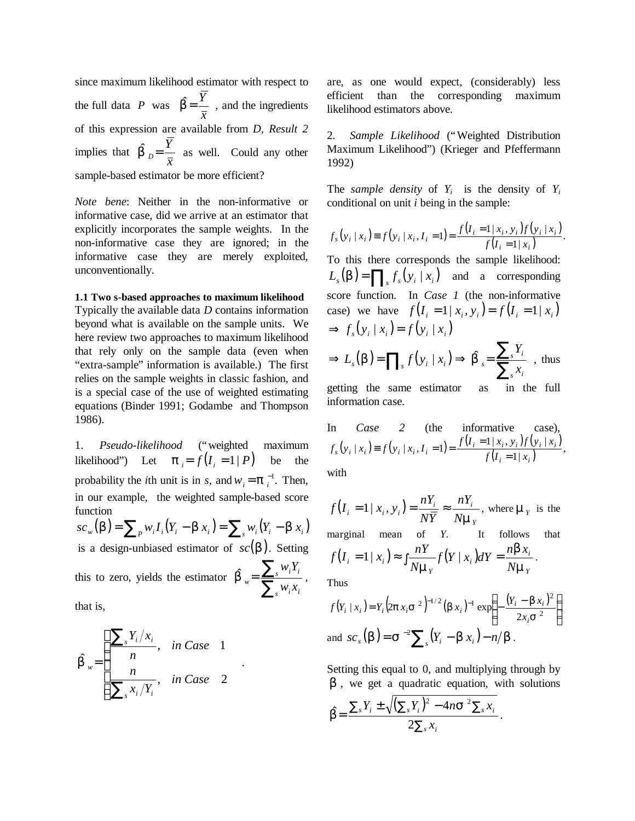since maximum likelihood estimator with respect to the full data *P* was *x*  $\hat{\mathbf{b}} = \frac{Y}{T}$ , and the ingredients of this expression are available from *D, Result 2* implies that *x*  $\hat{\boldsymbol{b}}_p = \frac{\overline{Y}}{\overline{Y}}$  as well. Could any other sample-based estimator be more efficient?

*Note bene*: Neither in the non-informative or informative case, did we arrive at an estimator that explicitly incorporates the sample weights. In the non-informative case they are ignored; in the informative case they are merely exploited, unconventionally.

#### **1.1 Two s-based approaches to maximum likelihood**

Typically the available data *D* contains information beyond what is available on the sample units. We here review two approaches to maximum likelihood that rely only on the sample data (even when "extra-sample" information is available.) The first relies on the sample weights in classic fashion, and is a special case of the use of weighted estimating equations (Binder 1991; Godambe and Thompson 1986).

1. *Pseudo-likelihood* ("weighted maximum  $likelihood$ ") Let  $p_i = f(I_i = 1 | P)$  be the probability the *i*th unit is in *s*, and  $w_i = \mathbf{p}_i^{-1}$ . Then, in our example, the weighted sample-based score function  $sc_w(\mathbf{b}) = \sum_{P} w_i I_i (Y_i - \mathbf{b} x_i) = \sum_{S} w_i (Y_i - \mathbf{b} x_i)$ is a design-unbiased estimator of  $\mathcal{SC}(b)$ . Setting this to zero, yields the estimator  $\mathbf{b}_w = \sum_{n=1}^\infty$  $=\frac{\sum}{}$  $\int$ <sup>*i*</sup> *i*  $\lambda$ <sub>*i*</sub>  $\int$ <sup>*i*</sup> *i i i*  $w = \sum_{i} w_i x_i$  $\hat{\mathbf{b}}_{w} = \frac{\sum_{s} w_{i} Y_{i}}{\sum_{s} w_{i}}$ 

.

that is,

$$
\hat{\mathbf{D}}_{w} = \begin{cases}\n\frac{\sum_{s} Y_{i}/x_{i}}{n}, & in Case 1 \\
\frac{n}{\sum_{s} x_{i}/Y_{i}}, & in Case 2\n\end{cases}
$$

are, as one would expect, (considerably) less efficient than the corresponding maximum likelihood estimators above.

2. *Sample Likelihood* ("Weighted Distribution Maximum Likelihood") (Krieger and Pfeffermann 1992)

The *sample density* of  $Y_i$  is the density of  $Y_i$ conditional on unit *i* being in the sample:

$$
f_s(y_i \mid x_i) \equiv f(y_i \mid x_i, I_i = 1) = \frac{f(I_i = 1 \mid x_i, y_i) f(y_i \mid x_i)}{f(I_i = 1 \mid x_i)}.
$$

To this there corresponds the sample likelihood:  $L_s(\mathbf{b}) = \prod_s f_s(\mathbf{y}_i | \mathbf{x}_i)$  and a corresponding score function. In *Case 1* (the non-informative case) we have  $f(I_i = 1 | x_i, y_i) = f(I_i = 1 | x_i)$  $\Rightarrow$   $f_s(y_i | x_i) = f(y_i | x_i)$  $\Rightarrow$   $L_s$   $(\mathbf{b}) = \prod_s f(y_i | x_i) \Rightarrow \hat{\mathbf{b}}_s = \frac{\sum_s}{\sum_s}$  $\Rightarrow \hat{b} = \frac{\sum_{i=1}^{n} a_i}{\sum_{i=1}^{n} a_i}$ *s i s*<sup>-</sup>  $\sum x$  $\hat{\mathbf{b}}_{s} = \frac{\sum_{s} Y_{i}}{\sum_{s}}$ , thus

*s i* getting the same estimator as in the full information case.

In *Case* 2 (the informative case),  
\n
$$
f_s(y_i | x_i) \equiv f(y_i | x_i, I_i = 1) = \frac{f(I_i = 1 | x_i, y_i) f(y_i | x_i)}{f(I_i = 1 | x_i)},
$$
\nwith

$$
f(I_i = 1 | x_i, y_i) = \frac{nY_i}{N\overline{Y}} \approx \frac{nY_i}{Nm_Y}, \text{ where } m_Y \text{ is the } \text{marginal mean of } Y. \text{ It follows that } f(I_i = 1 | x_i) \approx \int \frac{nY}{Nm_Y} f(Y | x_i) dY = \frac{nDx_i}{Nm_Y}.
$$
  
Thus 
$$
f(Y_i | x_i) = Y_i (2px_i \mathbf{s}^2)^{-1/2} (\mathbf{b}x_i)^{-1} \exp\left(-\frac{(Y_i - \mathbf{b}x_i)^2}{2x_i \mathbf{s}^2}\right)
$$

and 
$$
sc_s(\mathbf{b}) = \mathbf{s}^{-2} \sum_s (Y_i - \mathbf{b} x_i) - n/\mathbf{b}
$$
.

Setting this equal to 0, and multiplying through by *b*, we get a quadratic equation, with solutions

$$
\hat{\boldsymbol{D}} = \frac{\sum_{s} Y_i \pm \sqrt{(\sum_{s} Y_i)^2 - 4n\mathbf{s}^2 \sum_{s} x_i}}{2\sum_{s} x_i}.
$$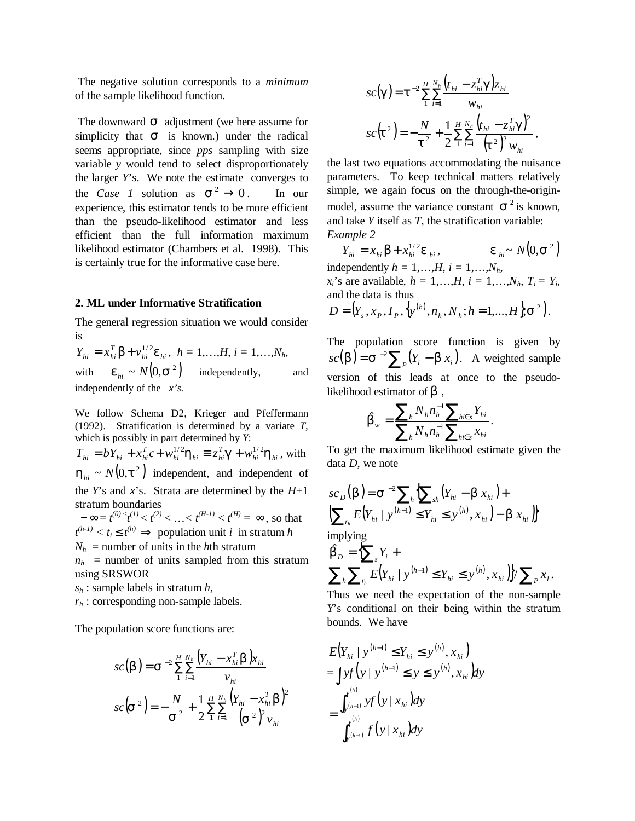The negative solution corresponds to a *minimum* of the sample likelihood function.

 The downward *s* adjustment (we here assume for simplicity that *s* is known.) under the radical seems appropriate, since *pps* sampling with size variable *y* would tend to select disproportionately the larger *Y*'s. We note the estimate converges to the *Case 1* solution as  $\mathbf{s}^2 \to 0$ . In our experience, this estimator tends to be more efficient than the pseudo-likelihood estimator and less efficient than the full information maximum likelihood estimator (Chambers et al. 1998). This is certainly true for the informative case here.

#### **2. ML under Informative Stratification**

The general regression situation we would consider is

*hi hi*  $Y_{hi} = x_{hi}^T \mathbf{b} + v_{hi}^{1/2} \mathbf{e}_{hi}, \ h = 1, \ldots, H, i = 1, \ldots, N_h,$ with  $\mathbf{e}_{hi} \sim N(0, \mathbf{s}^2)$  independently, and independently of the *x's.*

We follow Schema D2, Krieger and Pfeffermann (1992). Stratification is determined by a variate *T*, which is possibly in part determined by *Y*:

*hi hi*  $T_{hi} = bY_{hi} + x_{hi}^T c + w_{hi}^{1/2}h_{hi} \equiv z_{hi}^T g + w_{hi}^{1/2}h_{hi}$  $\equiv z_{hi}^T \mathbf{g} + w_{hi}^{1/2} \mathbf{h}_{hi}$ , with  $h_{hi} \sim N(0, t^2)$  independent, and independent of the  $Y$ 's and  $x$ 's. Strata are determined by the  $H+1$ stratum boundaries

 $-$  ∞ =  $t^{(0) \times} t^{(1)}$  <  $t^{(2)}$  < ... <  $t^{(H-1)}$  <  $t^{(H)}$  = ∞, so that  $t^{(h-1)} < t_i$  **£** $t^{(h)} \Rightarrow$  population unit *i* in stratum *h*  $N_h$  = number of units in the *h*th stratum

 $n_h$  = number of units sampled from this stratum using SRSWOR

*s<sup>h</sup>* : sample labels in stratum *h*,

*r<sup>h</sup>* : corresponding non-sample labels.

The population score functions are:

$$
sc(\mathbf{b}) = \mathbf{s}^{-2} \sum_{1}^{H} \sum_{i=1}^{N_h} \frac{(Y_{hi} - x_{hi}^T \mathbf{b}) x_{hi}}{v_{hi}}
$$

$$
sc(\mathbf{s}^2) = -\frac{N}{\mathbf{s}^2} + \frac{1}{2} \sum_{1}^{H} \sum_{i=1}^{N_h} \frac{(Y_{hi} - x_{hi}^T \mathbf{b})^2}{(\mathbf{s}^2)^2 v_{hi}}
$$

$$
sc(g) = t^{-2} \sum_{i=1}^{H} \sum_{i=1}^{N_h} \frac{(t_{hi} - z_{hi}^T g) z_{hi}}{w_{hi}}
$$

$$
sc(t^2) = -\frac{N}{t^2} + \frac{1}{2} \sum_{i=1}^{H} \sum_{i=1}^{N_h} \frac{(t_{hi} - z_{hi}^T g)^2}{(t^2)^2 w_{hi}},
$$

the last two equations accommodating the nuisance parameters. To keep technical matters relatively simple, we again focus on the through-the-originmodel, assume the variance constant  $s^2$  is known, and take *Y* itself as *T*, the stratification variable: *Example 2*

 $Y_{hi} = x_{hi} \mathbf{b} + x_{hi}^{1/2} \mathbf{e}_{hi}, \qquad \mathbf{e}_{hi} \sim N(0, \mathbf{s}^2)$ independently  $h = 1, \ldots, H$ ,  $i = 1, \ldots, N_h$ ,  $x_i$ 's are available,  $h = 1,...,H$ ,  $i = 1,...,N_h$ ,  $T_i = Y_i$ , and the data is thus  $D = (Y_s, x_p, I_p, \{y^{(h)}, n_h, N_h; h = 1, ..., H\}$ ,  $S^2$ ).

The population score function is given by  $(**b**) = **s**^{-2} \sum_{P} (Y_i - \mathbf{b} x_i).$  $\mathbf{c} \mathbf{c}(\mathbf{b}) = \mathbf{s}^{-2} \sum_{P} (Y_i - \mathbf{b} x_i)$ . A weighted sample version of this leads at once to the pseudolikelihood estimator of *b*,

$$
\hat{\bm{L}}_{w} = \frac{\sum_{h} N_{h} n_{h}^{-1} \sum_{h i \in s} Y_{hi}}{\sum_{h} N_{h} n_{h}^{-1} \sum_{h i \in s} x_{hi}}.
$$

To get the maximum likelihood estimate given the data *D*, we note

$$
sc_{D}(\mathbf{b}) = \mathbf{s}^{-2} \sum_{h} \sum_{sh} (Y_{hi} - \mathbf{b}x_{hi}) +
$$
  
\n
$$
\sum_{r_h} E(Y_{hi} | y^{(h-1)} \le Y_{hi} \le y^{(h)}, x_{hi}) - \mathbf{b}x_{hi} \}
$$
  
\nimplying  
\n
$$
\hat{\mathbf{b}}_{D} = \sum_{s} Y_{i} +
$$
  
\n
$$
\sum_{h} \sum_{r_h} E(Y_{hi} | y^{(h-1)} \le Y_{hi} \le y^{(h)}, x_{hi}) / \sum_{P} x_{I}.
$$

Thus we need the expectation of the non-sample *Y*'s conditional on their being within the stratum bounds. We have

$$
E(Y_{hi} | y^{(h-1)} \le Y_{hi} \le y^{(h)}, x_{hi})
$$
  
= 
$$
\int y f(y | y^{(h-1)} \le y \le y^{(h)}, x_{hi}) dy
$$
  
= 
$$
\frac{\int_{y^{(h-1)}}^{y^{(h)}} y f(y | x_{hi}) dy}{\int_{y^{(h-1)}}^{y^{(h)}} f(y | x_{hi}) dy}
$$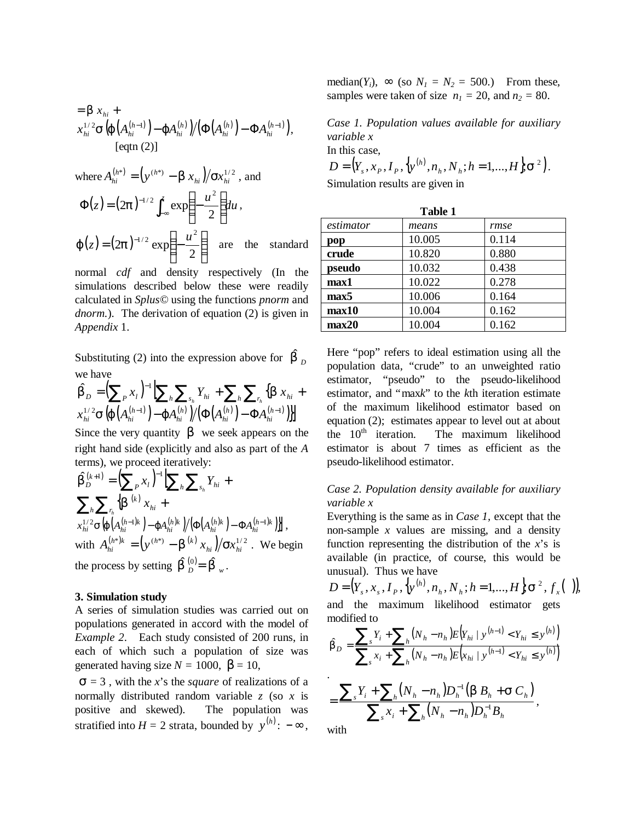$$
= \mathbf{b} x_{hi} + \frac{x_{hi}^{1/2} \mathbf{s} \left( \mathbf{j} \left( A_{hi}^{(h-1)} \right) - \mathbf{j} A_{hi}^{(h)} \right) / \left( \Phi \left( A_{hi}^{(h)} \right) - \Phi A_{hi}^{(h-1)} \right),
$$
  
[eqtn (2)]

where 
$$
A_{hi}^{(h^*)} = (y^{(h^*)} - \mathbf{b}x_{hi})/\mathbf{s}x_{hi}^{1/2}
$$
, and  
\n
$$
\Phi(z) = (2\mathbf{p})^{-1/2} \int_{-\infty}^{z} \exp\left(-\frac{u^2}{2}\right) du,
$$
\n
$$
\mathbf{j}(z) = (2\mathbf{p})^{-1/2} \exp\left(-\frac{u^2}{2}\right) \text{ are the standard}
$$

normal *cdf* and density respectively (In the simulations described below these were readily calculated in *Splus©* using the functions *pnorm* and *dnorm.*). The derivation of equation (2) is given in *Appendix* 1.

Substituting (2) into the expression above for  $\hat{\mathbf{b}}_p$ we have

$$
\hat{\boldsymbol{b}}_{\!D} = \left(\sum_{P} x_{l}\right)^{-1} \left[\sum_{h} \sum_{s_{h}} Y_{hi} + \sum_{h} \sum_{r_{h}} \left\{ \boldsymbol{b} x_{hi} + x_{hi}^{1/2} \boldsymbol{s} \left( \boldsymbol{j} \left( A_{hi}^{(h-1)} \right) - \boldsymbol{j} A_{hi}^{(h)} \right) / \left( \Phi \left( A_{hi}^{(h)} \right) - \Phi A_{hi}^{(h-1)} \right) \right] \right]
$$

Since the very quantity  $\boldsymbol{b}$  we seek appears on the right hand side (explicitly and also as part of the *A* terms), we proceed iteratively:

$$
\hat{\mathbf{b}}_{D}^{(k+1)} = \left(\sum_{P} x_{i}\right)^{-1} \left[\sum_{h} \sum_{s_{h}} Y_{hi} + \sum_{h} \sum_{h} \sum_{h} \left\{\mathbf{b}^{(k)} x_{hi} + x_{hi}^{1/2} \mathbf{s} \left[\mathbf{y}\left(A_{hi}^{(h-1)k}\right) - \mathbf{j} A_{hi}^{(h)k}\right] / \left(\Phi\left(A_{hi}^{(h)k}\right) - \Phi A_{hi}^{(h-1)k}\right)\right]\right],
$$
\nwith  $A_{hi}^{(h^{*})k} = \left(y^{(h^{*})} - \mathbf{b}^{(k)} x_{hi}\right) / \mathbf{s} x_{hi}^{1/2}$ . We begin the process by setting  $\hat{\mathbf{b}}_{D}^{(0)} = \hat{\mathbf{b}}_{w}$ .

## **3. Simulation study**

A series of simulation studies was carried out on populations generated in accord with the model of *Example 2*. Each study consisted of 200 runs, in each of which such a population of size was generated having size  $N = 1000$ ,  $\boldsymbol{b} = 10$ ,

*s* = 3 , with the *x*'s the *square* of realizations of a normally distributed random variable *z* (so *x* is positive and skewed). The population was stratified into *H* = 2 strata, bounded by  $y^{(h)}$ : −∞,

median( $Y_i$ ),  $\infty$  (so  $N_1 = N_2 = 500$ .) From these, samples were taken of size  $n_1 = 20$ , and  $n_2 = 80$ .

*Case 1. Population values available for auxiliary variable x* In this case,

$$
D = (Y_s, x_p, I_p, \{y^{(h)}, n_h, N_h; h = 1, ..., H\}, \mathbf{S}^2).
$$

Simulation results are given in

| <b>Table 1</b>   |        |       |
|------------------|--------|-------|
| estimator        | means  | rmse  |
| pop              | 10.005 | 0.114 |
| crude            | 10.820 | 0.880 |
| pseudo           | 10.032 | 0.438 |
| max1             | 10.022 | 0.278 |
| max <sub>5</sub> | 10.006 | 0.164 |
| max10            | 10.004 | 0.162 |
| max20            | 10.004 | 0.162 |

Here "pop" refers to ideal estimation using all the population data, "crude" to an unweighted ratio estimator, "pseudo" to the pseudo-likelihood estimator, and "max*k*" to the *k*th iteration estimate of the maximum likelihood estimator based on equation (2); estimates appear to level out at about the  $10<sup>th</sup>$  iteration. The maximum likelihood estimator is about 7 times as efficient as the pseudo-likelihood estimator.

# *Case 2. Population density available for auxiliary variable x*

Everything is the same as in *Case 1,* except that the non-sample *x* values are missing, and a density function representing the distribution of the *x*'s is available (in practice, of course, this would be unusual). Thus we have

$$
D = (Y_s, x_s, I_p, \{y^{(h)}, n_h, N_h; h = 1,..., H\}, \mathbf{S}^2, f_x(
$$
)),  
and the maximum likelihood estimator gets  
modified to

$$
\hat{b}_D = \frac{\sum_{s} Y_i + \sum_{h} (N_h - n_h) E(Y_{hi} | y^{(h-1)} < Y_{hi} \leq y^{(h)})}{\sum_{s} x_i + \sum_{h} (N_h - n_h) E(x_{hi} | y^{(h-1)} < Y_{hi} \leq y^{(h)})}
$$
\n
$$
= \frac{\sum_{s} Y_i + \sum_{h} (N_h - n_h) D_h^{-1} (BB_h + \mathbf{S} C_h)}{\sum_{s} x_i + \sum_{h} (N_h - n_h) D_h^{-1} B_h},
$$

with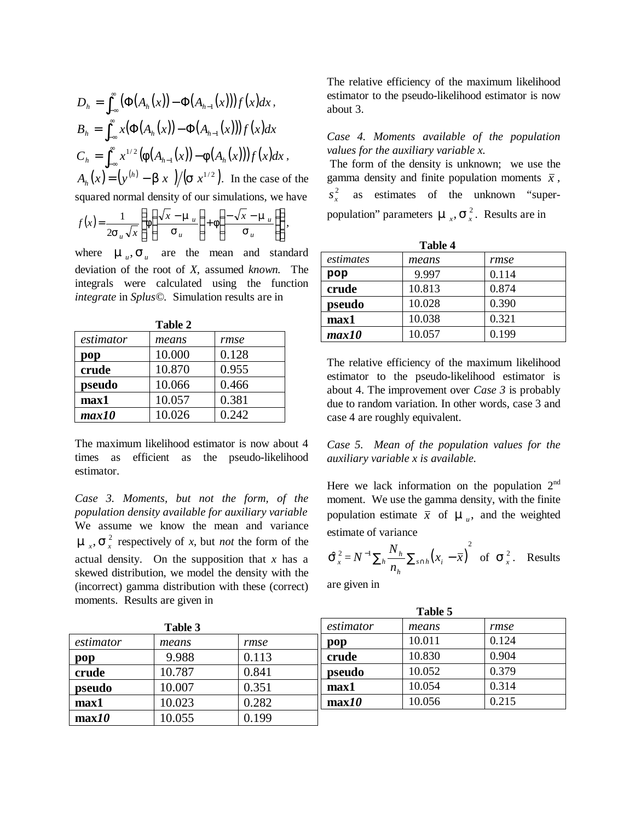$$
D_h = \int_{-\infty}^{\infty} (\Phi(A_h(x)) - \Phi(A_{h-1}(x))) f(x) dx,
$$
  
\n
$$
B_h = \int_{-\infty}^{\infty} x (\Phi(A_h(x)) - \Phi(A_{h-1}(x))) f(x) dx
$$
  
\n
$$
C_h = \int_{-\infty}^{\infty} x^{1/2} (f(A_{h-1}(x)) - f(A_h(x))) f(x) dx,
$$
  
\n
$$
A_h(x) = (y^{(h)} - \mathbf{b}x) / (\mathbf{s} x^{1/2}).
$$
 In the case of the squared normal density of our simulations, we have

$$
f(x) = \frac{1}{2\mathbf{s}_u\sqrt{x}} \left\{ \mathbf{f}\left(\frac{\sqrt{x} - \mathbf{m}_u}{\mathbf{s}_u}\right) + \mathbf{f}\left(\frac{-\sqrt{x} - \mathbf{m}_u}{\mathbf{s}_u}\right) \right\},\,
$$

where  $\boldsymbol{m}_u$ ,  $\boldsymbol{s}_u$  are the mean and standard deviation of the root of *X*, assumed *known.* The integrals were calculated using the function *integrate* in *Splus©.* Simulation results are in

| Table 2   |        |       |
|-----------|--------|-------|
| estimator | means  | rmse  |
| pop       | 10.000 | 0.128 |
| crude     | 10.870 | 0.955 |
| pseudo    | 10.066 | 0.466 |
| max1      | 10.057 | 0.381 |
| max10     | 10.026 | 0.242 |

The maximum likelihood estimator is now about 4 times as efficient as the pseudo-likelihood estimator.

*Case 3. Moments, but not the form, of the population density available for auxiliary variable* We assume we know the mean and variance  $\mathbf{m}_x$ ,  $\mathbf{s}_x^2$  respectively of *x*, but *not* the form of the actual density. On the supposition that *x* has a skewed distribution, we model the density with the (incorrect) gamma distribution with these (correct) moments. Results are given in

The relative efficiency of the maximum likelihood estimator to the pseudo-likelihood estimator is now about 3.

*Case 4. Moments available of the population values for the auxiliary variable x.*

The form of the density is unknown; we use the gamma density and finite population moments  $\bar{x}$ , 2  $s_x^2$  as estimates of the unknown "superpopulation" parameters  $\boldsymbol{m}_x$ ,  $\boldsymbol{s}_x^2$ . Results are in

| Table 4   |        |       |
|-----------|--------|-------|
| estimates | means  | rmse  |
| pop       | 9.997  | 0.114 |
| crude     | 10.813 | 0.874 |
| pseudo    | 10.028 | 0.390 |
| max1      | 10.038 | 0.321 |
| max10     | 10.057 | 0.199 |

The relative efficiency of the maximum likelihood estimator to the pseudo-likelihood estimator is about 4. The improvement over *Case 3* is probably due to random variation. In other words, case 3 and case 4 are roughly equivalent.

*Case 5. Mean of the population values for the auxiliary variable x is available.*

Here we lack information on the population  $2<sup>nd</sup>$ moment. We use the gamma density, with the finite population estimate  $\bar{x}$  of  $\mathbf{m}_u$ , and the weighted estimate of variance

$$
\hat{\boldsymbol{S}}_x^2 = N^{-1} \sum_h \frac{N_h}{n_h} \sum_{s \cap h} (x_i - \bar{x})^2 \text{ of } \boldsymbol{S}_x^2. \text{ Results}
$$

**Table 5**

are given in

|           |         |       |            | таніс Э |       |  |
|-----------|---------|-------|------------|---------|-------|--|
|           | Table 3 |       | estimator  | means   | rmse  |  |
| estimator | means   | rmse  | $\bf{pop}$ | 10.011  | 0.124 |  |
| pop       | 9.988   | 0.113 | crude      | 10.830  | 0.904 |  |
| crude     | 10.787  | 0.841 | pseudo     | 10.052  | 0.379 |  |
| pseudo    | 10.007  | 0.351 | max1       | 10.054  | 0.314 |  |
| max1      | 10.023  | 0.282 | max10      | 10.056  | 0.215 |  |
| max10     | 10.055  | 0.199 |            |         |       |  |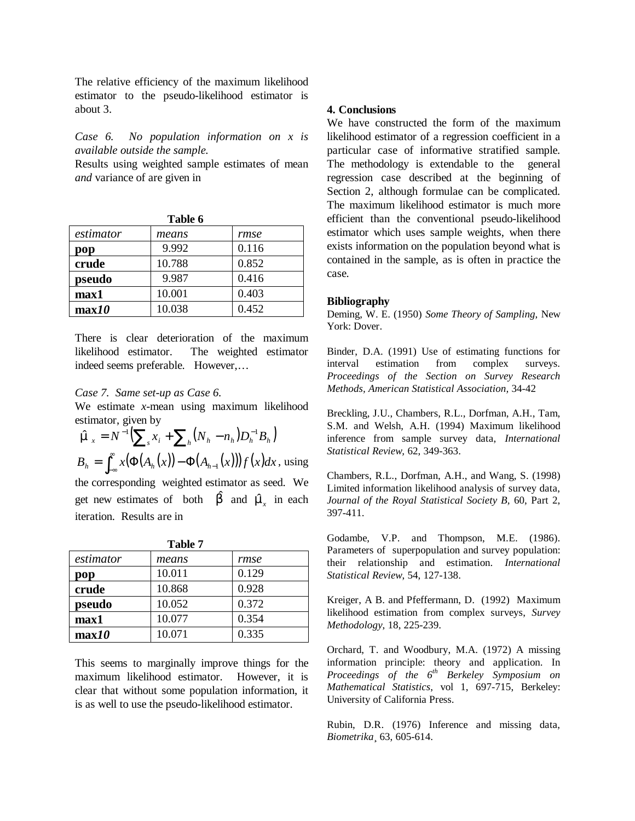The relative efficiency of the maximum likelihood estimator to the pseudo-likelihood estimator is about 3.

*Case 6. No population information on x is available outside the sample.*

Results using weighted sample estimates of mean *and* variance of are given in

| Table 6   |        |       |
|-----------|--------|-------|
| estimator | means  | rmse  |
| pop       | 9.992  | 0.116 |
| crude     | 10.788 | 0.852 |
| pseudo    | 9.987  | 0.416 |
| max1      | 10.001 | 0.403 |
| max10     | 10.038 | 0.452 |

There is clear deterioration of the maximum likelihood estimator. The weighted estimator indeed seems preferable. However,…

## *Case 7. Same set-up as Case 6.*

We estimate *x*-mean using maximum likelihood estimator, given by

 $\hat{\boldsymbol{m}}_{x} = N^{-1} \Bigl( \sum_{s} x_{i} + \sum_{h} (N_{h} - n_{h}) D_{h}^{-1} B_{h} \Bigr)$  $\int_{-\infty}^{\infty} x(\Phi(A_h(x)) - \Phi(A_{h-1}(x))) f(x) dx$  $B_h = \int_{-\infty}^{\infty} x(\Phi(A_h(x)) - \Phi(A_{h-1}(x))) f(x) dx$ , using the corresponding weighted estimator as seed. We get new estimates of both  $\hat{\mathbf{b}}$  and  $\hat{\mathbf{m}}_x$  in each iteration. Results are in

| aвı<br>r |  |
|----------|--|
|          |  |

| * ***** 1 |        |       |
|-----------|--------|-------|
| estimator | means  | rmse  |
| pop       | 10.011 | 0.129 |
| crude     | 10.868 | 0.928 |
| pseudo    | 10.052 | 0.372 |
| max1      | 10.077 | 0.354 |
| max10     | 10.071 | 0.335 |

This seems to marginally improve things for the maximum likelihood estimator. However, it is clear that without some population information, it is as well to use the pseudo-likelihood estimator.

### **4. Conclusions**

We have constructed the form of the maximum likelihood estimator of a regression coefficient in a particular case of informative stratified sample. The methodology is extendable to the general regression case described at the beginning of Section 2, although formulae can be complicated. The maximum likelihood estimator is much more efficient than the conventional pseudo-likelihood estimator which uses sample weights, when there exists information on the population beyond what is contained in the sample, as is often in practice the case.

#### **Bibliography**

Deming, W. E. (1950) *Some Theory of Sampling*, New York: Dover.

Binder, D.A. (1991) Use of estimating functions for interval estimation from complex surveys. *Proceedings of the Section on Survey Research Methods, American Statistical Association,* 34-42

Breckling, J.U., Chambers, R.L., Dorfman, A.H., Tam, S.M. and Welsh, A.H. (1994) Maximum likelihood inference from sample survey data, *International Statistical Review,* 62, 349-363.

Chambers, R.L., Dorfman, A.H., and Wang, S. (1998) Limited information likelihood analysis of survey data, *Journal of the Royal Statistical Society B,* 60, Part 2, 397-411.

Godambe, V.P. and Thompson, M.E. (1986). Parameters of superpopulation and survey population: their relationship and estimation. *International Statistical Review*, 54, 127-138.

Kreiger, A B. and Pfeffermann, D. (1992) Maximum likelihood estimation from complex surveys, *Survey Methodology*, 18, 225-239.

Orchard, T. and Woodbury, M.A. (1972) A missing information principle: theory and application. In *Proceedings of the 6 th Berkeley Symposium on Mathematical Statistics*, vol 1, 697-715, Berkeley: University of California Press.

Rubin, D.R. (1976) Inference and missing data, *Biometrika*¸ 63, 605-614.